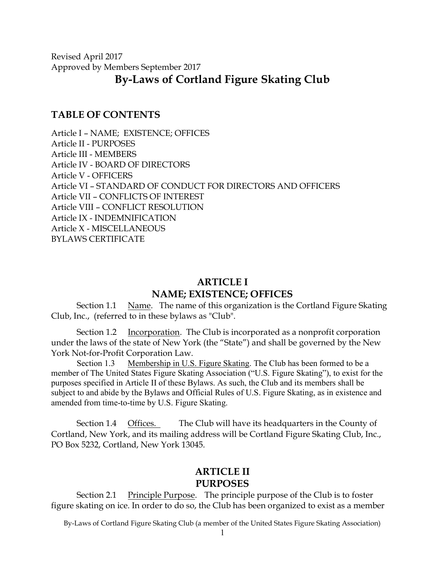Revised April 2017 Approved by Members September 2017

## By-Laws of Cortland Figure Skating Club

#### TABLE OF CONTENTS

Article I – NAME; EXISTENCE; OFFICES Article II - PURPOSES Article III - MEMBERS Article IV - BOARD OF DIRECTORS Article V - OFFICERS Article VI – STANDARD OF CONDUCT FOR DIRECTORS AND OFFICERS Article VII – CONFLICTS OF INTEREST Article VIII – CONFLICT RESOLUTION Article IX - INDEMNIFICATION Article X - MISCELLANEOUS BYLAWS CERTIFICATE

# ARTICLE I NAME; EXISTENCE; OFFICES

Section 1.1 Name. The name of this organization is the Cortland Figure Skating Club, Inc., (referred to in these bylaws as "Club".

Section 1.2 Incorporation. The Club is incorporated as a nonprofit corporation under the laws of the state of New York (the "State") and shall be governed by the New York Not-for-Profit Corporation Law.

Section 1.3 Membership in U.S. Figure Skating. The Club has been formed to be a member of The United States Figure Skating Association ("U.S. Figure Skating"), to exist for the purposes specified in Article II of these Bylaws. As such, the Club and its members shall be subject to and abide by the Bylaws and Official Rules of U.S. Figure Skating, as in existence and amended from time-to-time by U.S. Figure Skating.

Section 1.4 Offices. The Club will have its headquarters in the County of Cortland, New York, and its mailing address will be Cortland Figure Skating Club, Inc., PO Box 5232, Cortland, New York 13045.

## ARTICLE II PURPOSES

Section 2.1 Principle Purpose. The principle purpose of the Club is to foster figure skating on ice. In order to do so, the Club has been organized to exist as a member

By-Laws of Cortland Figure Skating Club (a member of the United States Figure Skating Association)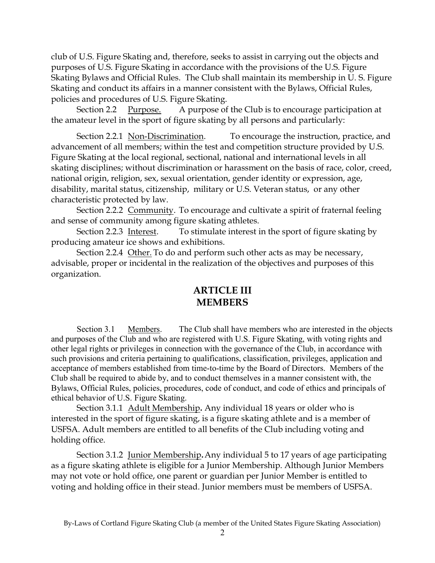club of U.S. Figure Skating and, therefore, seeks to assist in carrying out the objects and purposes of U.S. Figure Skating in accordance with the provisions of the U.S. Figure Skating Bylaws and Official Rules. The Club shall maintain its membership in U. S. Figure Skating and conduct its affairs in a manner consistent with the Bylaws, Official Rules, policies and procedures of U.S. Figure Skating.

Section 2.2 Purpose. A purpose of the Club is to encourage participation at the amateur level in the sport of figure skating by all persons and particularly:

Section 2.2.1 Non-Discrimination. To encourage the instruction, practice, and advancement of all members; within the test and competition structure provided by U.S. Figure Skating at the local regional, sectional, national and international levels in all skating disciplines; without discrimination or harassment on the basis of race, color, creed, national origin, religion, sex, sexual orientation, gender identity or expression, age, disability, marital status, citizenship, military or U.S. Veteran status, or any other characteristic protected by law.

Section 2.2.2 Community. To encourage and cultivate a spirit of fraternal feeling and sense of community among figure skating athletes.

 Section 2.2.3 Interest. To stimulate interest in the sport of figure skating by producing amateur ice shows and exhibitions.

Section 2.2.4 Other. To do and perform such other acts as may be necessary, advisable, proper or incidental in the realization of the objectives and purposes of this organization.

### ARTICLE III **MEMBERS**

 Section 3.1 Members. The Club shall have members who are interested in the objects and purposes of the Club and who are registered with U.S. Figure Skating, with voting rights and other legal rights or privileges in connection with the governance of the Club, in accordance with such provisions and criteria pertaining to qualifications, classification, privileges, application and acceptance of members established from time-to-time by the Board of Directors. Members of the Club shall be required to abide by, and to conduct themselves in a manner consistent with, the Bylaws, Official Rules, policies, procedures, code of conduct, and code of ethics and principals of ethical behavior of U.S. Figure Skating.

Section 3.1.1 Adult Membership. Any individual 18 years or older who is interested in the sport of figure skating, is a figure skating athlete and is a member of USFSA. Adult members are entitled to all benefits of the Club including voting and holding office.

Section 3.1.2 Junior Membership. Any individual 5 to 17 years of age participating as a figure skating athlete is eligible for a Junior Membership. Although Junior Members may not vote or hold office, one parent or guardian per Junior Member is entitled to voting and holding office in their stead. Junior members must be members of USFSA.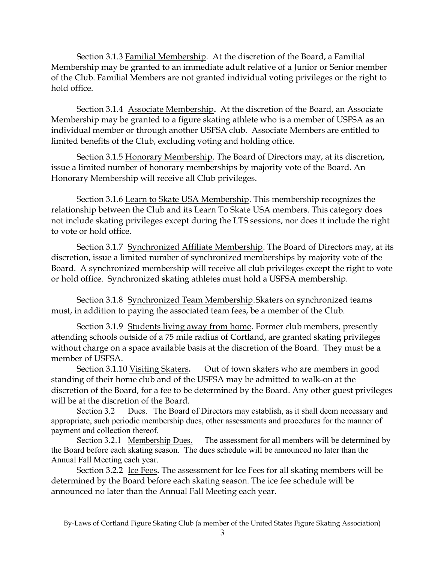Section 3.1.3 Familial Membership. At the discretion of the Board, a Familial Membership may be granted to an immediate adult relative of a Junior or Senior member of the Club. Familial Members are not granted individual voting privileges or the right to hold office.

Section 3.1.4 Associate Membership. At the discretion of the Board, an Associate Membership may be granted to a figure skating athlete who is a member of USFSA as an individual member or through another USFSA club. Associate Members are entitled to limited benefits of the Club, excluding voting and holding office.

Section 3.1.5 Honorary Membership. The Board of Directors may, at its discretion, issue a limited number of honorary memberships by majority vote of the Board. An Honorary Membership will receive all Club privileges.

Section 3.1.6 Learn to Skate USA Membership. This membership recognizes the relationship between the Club and its Learn To Skate USA members. This category does not include skating privileges except during the LTS sessions, nor does it include the right to vote or hold office.

Section 3.1.7 Synchronized Affiliate Membership. The Board of Directors may, at its discretion, issue a limited number of synchronized memberships by majority vote of the Board. A synchronized membership will receive all club privileges except the right to vote or hold office. Synchronized skating athletes must hold a USFSA membership.

 Section 3.1.8 Synchronized Team Membership. Skaters on synchronized teams must, in addition to paying the associated team fees, be a member of the Club.

Section 3.1.9 Students living away from home. Former club members, presently attending schools outside of a 75 mile radius of Cortland, are granted skating privileges without charge on a space available basis at the discretion of the Board. They must be a member of USFSA.

Section 3.1.10 Visiting Skaters. Out of town skaters who are members in good standing of their home club and of the USFSA may be admitted to walk-on at the discretion of the Board, for a fee to be determined by the Board. Any other guest privileges will be at the discretion of the Board.

 Section 3.2 Dues. The Board of Directors may establish, as it shall deem necessary and appropriate, such periodic membership dues, other assessments and procedures for the manner of payment and collection thereof.

 Section 3.2.1 Membership Dues. The assessment for all members will be determined by the Board before each skating season. The dues schedule will be announced no later than the Annual Fall Meeting each year.

Section 3.2.2 Ice Fees. The assessment for Ice Fees for all skating members will be determined by the Board before each skating season. The ice fee schedule will be announced no later than the Annual Fall Meeting each year.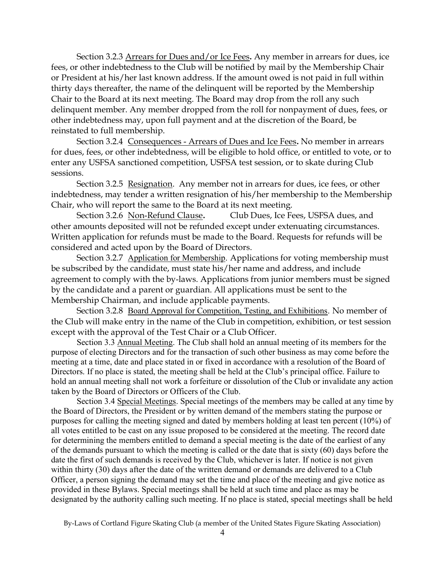Section 3.2.3 Arrears for Dues and/or Ice Fees. Any member in arrears for dues, ice fees, or other indebtedness to the Club will be notified by mail by the Membership Chair or President at his/her last known address. If the amount owed is not paid in full within thirty days thereafter, the name of the delinquent will be reported by the Membership Chair to the Board at its next meeting. The Board may drop from the roll any such delinquent member. Any member dropped from the roll for nonpayment of dues, fees, or other indebtedness may, upon full payment and at the discretion of the Board, be reinstated to full membership.

Section 3.2.4 Consequences - Arrears of Dues and Ice Fees. No member in arrears for dues, fees, or other indebtedness, will be eligible to hold office, or entitled to vote, or to enter any USFSA sanctioned competition, USFSA test session, or to skate during Club sessions.

Section 3.2.5 Resignation. Any member not in arrears for dues, ice fees, or other indebtedness, may tender a written resignation of his/her membership to the Membership Chair, who will report the same to the Board at its next meeting.

Section 3.2.6 Non-Refund Clause. Club Dues, Ice Fees, USFSA dues, and other amounts deposited will not be refunded except under extenuating circumstances. Written application for refunds must be made to the Board. Requests for refunds will be considered and acted upon by the Board of Directors.

Section 3.2.7 Application for Membership. Applications for voting membership must be subscribed by the candidate, must state his/her name and address, and include agreement to comply with the by-laws. Applications from junior members must be signed by the candidate and a parent or guardian. All applications must be sent to the Membership Chairman, and include applicable payments.

Section 3.2.8 Board Approval for Competition, Testing, and Exhibitions. No member of the Club will make entry in the name of the Club in competition, exhibition, or test session except with the approval of the Test Chair or a Club Officer.

Section 3.3 Annual Meeting. The Club shall hold an annual meeting of its members for the purpose of electing Directors and for the transaction of such other business as may come before the meeting at a time, date and place stated in or fixed in accordance with a resolution of the Board of Directors. If no place is stated, the meeting shall be held at the Club's principal office. Failure to hold an annual meeting shall not work a forfeiture or dissolution of the Club or invalidate any action taken by the Board of Directors or Officers of the Club.

Section 3.4 Special Meetings. Special meetings of the members may be called at any time by the Board of Directors, the President or by written demand of the members stating the purpose or purposes for calling the meeting signed and dated by members holding at least ten percent (10%) of all votes entitled to be cast on any issue proposed to be considered at the meeting. The record date for determining the members entitled to demand a special meeting is the date of the earliest of any of the demands pursuant to which the meeting is called or the date that is sixty (60) days before the date the first of such demands is received by the Club, whichever is later. If notice is not given within thirty (30) days after the date of the written demand or demands are delivered to a Club Officer, a person signing the demand may set the time and place of the meeting and give notice as provided in these Bylaws. Special meetings shall be held at such time and place as may be designated by the authority calling such meeting. If no place is stated, special meetings shall be held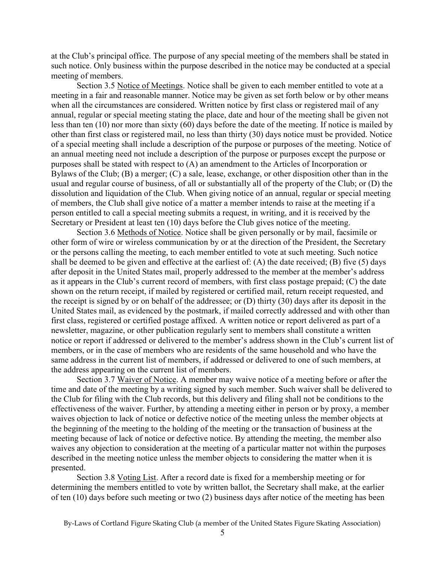at the Club's principal office. The purpose of any special meeting of the members shall be stated in such notice. Only business within the purpose described in the notice may be conducted at a special meeting of members.

Section 3.5 Notice of Meetings. Notice shall be given to each member entitled to vote at a meeting in a fair and reasonable manner. Notice may be given as set forth below or by other means when all the circumstances are considered. Written notice by first class or registered mail of any annual, regular or special meeting stating the place, date and hour of the meeting shall be given not less than ten (10) nor more than sixty (60) days before the date of the meeting. If notice is mailed by other than first class or registered mail, no less than thirty (30) days notice must be provided. Notice of a special meeting shall include a description of the purpose or purposes of the meeting. Notice of an annual meeting need not include a description of the purpose or purposes except the purpose or purposes shall be stated with respect to (A) an amendment to the Articles of Incorporation or Bylaws of the Club; (B) a merger; (C) a sale, lease, exchange, or other disposition other than in the usual and regular course of business, of all or substantially all of the property of the Club; or (D) the dissolution and liquidation of the Club. When giving notice of an annual, regular or special meeting of members, the Club shall give notice of a matter a member intends to raise at the meeting if a person entitled to call a special meeting submits a request, in writing, and it is received by the Secretary or President at least ten (10) days before the Club gives notice of the meeting.

Section 3.6 Methods of Notice. Notice shall be given personally or by mail, facsimile or other form of wire or wireless communication by or at the direction of the President, the Secretary or the persons calling the meeting, to each member entitled to vote at such meeting. Such notice shall be deemed to be given and effective at the earliest of: (A) the date received; (B) five (5) days after deposit in the United States mail, properly addressed to the member at the member's address as it appears in the Club's current record of members, with first class postage prepaid; (C) the date shown on the return receipt, if mailed by registered or certified mail, return receipt requested, and the receipt is signed by or on behalf of the addressee; or (D) thirty (30) days after its deposit in the United States mail, as evidenced by the postmark, if mailed correctly addressed and with other than first class, registered or certified postage affixed. A written notice or report delivered as part of a newsletter, magazine, or other publication regularly sent to members shall constitute a written notice or report if addressed or delivered to the member's address shown in the Club's current list of members, or in the case of members who are residents of the same household and who have the same address in the current list of members, if addressed or delivered to one of such members, at the address appearing on the current list of members.

Section 3.7 Waiver of Notice. A member may waive notice of a meeting before or after the time and date of the meeting by a writing signed by such member. Such waiver shall be delivered to the Club for filing with the Club records, but this delivery and filing shall not be conditions to the effectiveness of the waiver. Further, by attending a meeting either in person or by proxy, a member waives objection to lack of notice or defective notice of the meeting unless the member objects at the beginning of the meeting to the holding of the meeting or the transaction of business at the meeting because of lack of notice or defective notice. By attending the meeting, the member also waives any objection to consideration at the meeting of a particular matter not within the purposes described in the meeting notice unless the member objects to considering the matter when it is presented.

Section 3.8 Voting List. After a record date is fixed for a membership meeting or for determining the members entitled to vote by written ballot, the Secretary shall make, at the earlier of ten (10) days before such meeting or two (2) business days after notice of the meeting has been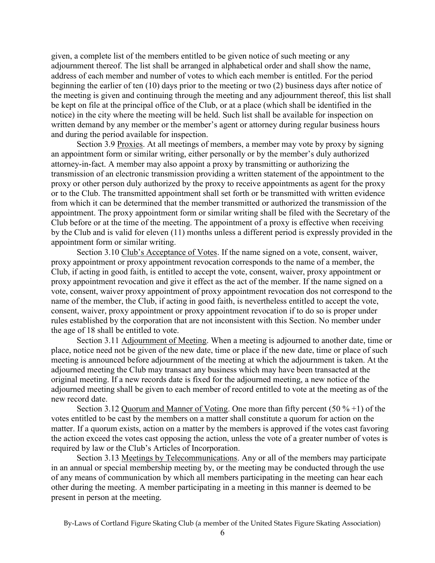given, a complete list of the members entitled to be given notice of such meeting or any adjournment thereof. The list shall be arranged in alphabetical order and shall show the name, address of each member and number of votes to which each member is entitled. For the period beginning the earlier of ten (10) days prior to the meeting or two (2) business days after notice of the meeting is given and continuing through the meeting and any adjournment thereof, this list shall be kept on file at the principal office of the Club, or at a place (which shall be identified in the notice) in the city where the meeting will be held. Such list shall be available for inspection on written demand by any member or the member's agent or attorney during regular business hours and during the period available for inspection.

Section 3.9 Proxies. At all meetings of members, a member may vote by proxy by signing an appointment form or similar writing, either personally or by the member's duly authorized attorney-in-fact. A member may also appoint a proxy by transmitting or authorizing the transmission of an electronic transmission providing a written statement of the appointment to the proxy or other person duly authorized by the proxy to receive appointments as agent for the proxy or to the Club. The transmitted appointment shall set forth or be transmitted with written evidence from which it can be determined that the member transmitted or authorized the transmission of the appointment. The proxy appointment form or similar writing shall be filed with the Secretary of the Club before or at the time of the meeting. The appointment of a proxy is effective when receiving by the Club and is valid for eleven (11) months unless a different period is expressly provided in the appointment form or similar writing.

Section 3.10 Club's Acceptance of Votes. If the name signed on a vote, consent, waiver, proxy appointment or proxy appointment revocation corresponds to the name of a member, the Club, if acting in good faith, is entitled to accept the vote, consent, waiver, proxy appointment or proxy appointment revocation and give it effect as the act of the member. If the name signed on a vote, consent, waiver proxy appointment of proxy appointment revocation dos not correspond to the name of the member, the Club, if acting in good faith, is nevertheless entitled to accept the vote, consent, waiver, proxy appointment or proxy appointment revocation if to do so is proper under rules established by the corporation that are not inconsistent with this Section. No member under the age of 18 shall be entitled to vote.

Section 3.11 Adjournment of Meeting. When a meeting is adjourned to another date, time or place, notice need not be given of the new date, time or place if the new date, time or place of such meeting is announced before adjournment of the meeting at which the adjournment is taken. At the adjourned meeting the Club may transact any business which may have been transacted at the original meeting. If a new records date is fixed for the adjourned meeting, a new notice of the adjourned meeting shall be given to each member of record entitled to vote at the meeting as of the new record date.

Section 3.12 Quorum and Manner of Voting. One more than fifty percent  $(50\% +1)$  of the votes entitled to be cast by the members on a matter shall constitute a quorum for action on the matter. If a quorum exists, action on a matter by the members is approved if the votes cast favoring the action exceed the votes cast opposing the action, unless the vote of a greater number of votes is required by law or the Club's Articles of Incorporation.

Section 3.13 Meetings by Telecommunications. Any or all of the members may participate in an annual or special membership meeting by, or the meeting may be conducted through the use of any means of communication by which all members participating in the meeting can hear each other during the meeting. A member participating in a meeting in this manner is deemed to be present in person at the meeting.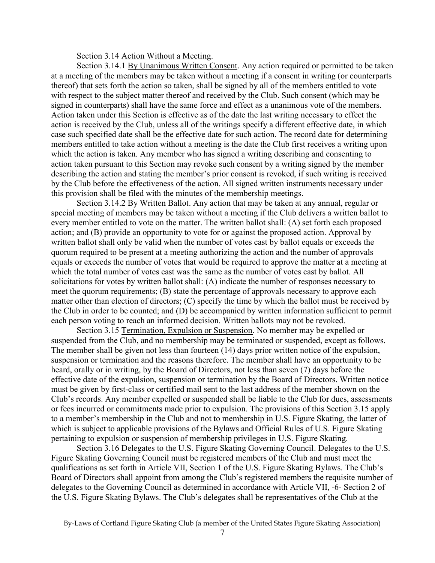Section 3.14 Action Without a Meeting.

Section 3.14.1 By Unanimous Written Consent. Any action required or permitted to be taken at a meeting of the members may be taken without a meeting if a consent in writing (or counterparts thereof) that sets forth the action so taken, shall be signed by all of the members entitled to vote with respect to the subject matter thereof and received by the Club. Such consent (which may be signed in counterparts) shall have the same force and effect as a unanimous vote of the members. Action taken under this Section is effective as of the date the last writing necessary to effect the action is received by the Club, unless all of the writings specify a different effective date, in which case such specified date shall be the effective date for such action. The record date for determining members entitled to take action without a meeting is the date the Club first receives a writing upon which the action is taken. Any member who has signed a writing describing and consenting to action taken pursuant to this Section may revoke such consent by a writing signed by the member describing the action and stating the member's prior consent is revoked, if such writing is received by the Club before the effectiveness of the action. All signed written instruments necessary under this provision shall be filed with the minutes of the membership meetings.

Section 3.14.2 By Written Ballot. Any action that may be taken at any annual, regular or special meeting of members may be taken without a meeting if the Club delivers a written ballot to every member entitled to vote on the matter. The written ballot shall: (A) set forth each proposed action; and (B) provide an opportunity to vote for or against the proposed action. Approval by written ballot shall only be valid when the number of votes cast by ballot equals or exceeds the quorum required to be present at a meeting authorizing the action and the number of approvals equals or exceeds the number of votes that would be required to approve the matter at a meeting at which the total number of votes cast was the same as the number of votes cast by ballot. All solicitations for votes by written ballot shall: (A) indicate the number of responses necessary to meet the quorum requirements; (B) state the percentage of approvals necessary to approve each matter other than election of directors; (C) specify the time by which the ballot must be received by the Club in order to be counted; and (D) be accompanied by written information sufficient to permit each person voting to reach an informed decision. Written ballots may not be revoked.

Section 3.15 Termination, Expulsion or Suspension. No member may be expelled or suspended from the Club, and no membership may be terminated or suspended, except as follows. The member shall be given not less than fourteen (14) days prior written notice of the expulsion, suspension or termination and the reasons therefore. The member shall have an opportunity to be heard, orally or in writing, by the Board of Directors, not less than seven (7) days before the effective date of the expulsion, suspension or termination by the Board of Directors. Written notice must be given by first-class or certified mail sent to the last address of the member shown on the Club's records. Any member expelled or suspended shall be liable to the Club for dues, assessments or fees incurred or commitments made prior to expulsion. The provisions of this Section 3.15 apply to a member's membership in the Club and not to membership in U.S. Figure Skating, the latter of which is subject to applicable provisions of the Bylaws and Official Rules of U.S. Figure Skating pertaining to expulsion or suspension of membership privileges in U.S. Figure Skating.

Section 3.16 Delegates to the U.S. Figure Skating Governing Council. Delegates to the U.S. Figure Skating Governing Council must be registered members of the Club and must meet the qualifications as set forth in Article VII, Section 1 of the U.S. Figure Skating Bylaws. The Club's Board of Directors shall appoint from among the Club's registered members the requisite number of delegates to the Governing Council as determined in accordance with Article VII, -6- Section 2 of the U.S. Figure Skating Bylaws. The Club's delegates shall be representatives of the Club at the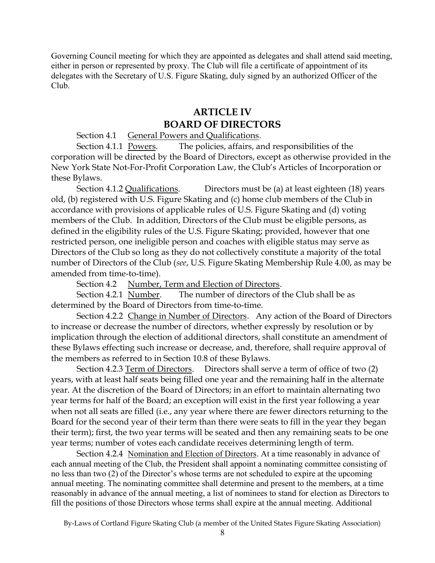Governing Council meeting for which they are appointed as delegates and shall attend said meeting, either in person or represented by proxy. The Club will file a certificate of appointment of its delegates with the Secretary of U.S. Figure Skating, duly signed by an authorized Officer of the Club.

### ARTICLE IV BOARD OF DIRECTORS

Section 4.1 General Powers and Qualifications.

Section 4.1.1 <u>Powers</u>. The policies, affairs, and responsibilities of the corporation will be directed by the Board of Directors, except as otherwise provided in the New York State Not-For-Profit Corporation Law, the Club's Articles of Incorporation or these Bylaws.

Section 4.1.2 Qualifications. Directors must be (a) at least eighteen (18) years old, (b) registered with U.S. Figure Skating and (c) home club members of the Club in accordance with provisions of applicable rules of U.S. Figure Skating and (d) voting members of the Club. In addition, Directors of the Club must be eligible persons, as defined in the eligibility rules of the U.S. Figure Skating; provided, however that one restricted person, one ineligible person and coaches with eligible status may serve as Directors of the Club so long as they do not collectively constitute a majority of the total number of Directors of the Club (see, U.S. Figure Skating Membership Rule 4.00, as may be amended from time-to-time).

Section 4.2 Number, Term and Election of Directors.

Section 4.2.1 Number. The number of directors of the Club shall be as determined by the Board of Directors from time-to-time.

Section 4.2.2 Change in Number of Directors. Any action of the Board of Directors to increase or decrease the number of directors, whether expressly by resolution or by implication through the election of additional directors, shall constitute an amendment of these Bylaws effecting such increase or decrease, and, therefore, shall require approval of the members as referred to in Section 10.8 of these Bylaws.

Section 4.2.3 Term of Directors. Directors shall serve a term of office of two (2) years, with at least half seats being filled one year and the remaining half in the alternate year. At the discretion of the Board of Directors; in an effort to maintain alternating two year terms for half of the Board; an exception will exist in the first year following a year when not all seats are filled (i.e., any year where there are fewer directors returning to the Board for the second year of their term than there were seats to fill in the year they began their term); first, the two year terms will be seated and then any remaining seats to be one year terms; number of votes each candidate receives determining length of term.

 Section 4.2.4 Nomination and Election of Directors. At a time reasonably in advance of each annual meeting of the Club, the President shall appoint a nominating committee consisting of no less than two (2) of the Director's whose terms are not scheduled to expire at the upcoming annual meeting. The nominating committee shall determine and present to the members, at a time reasonably in advance of the annual meeting, a list of nominees to stand for election as Directors to fill the positions of those Directors whose terms shall expire at the annual meeting. Additional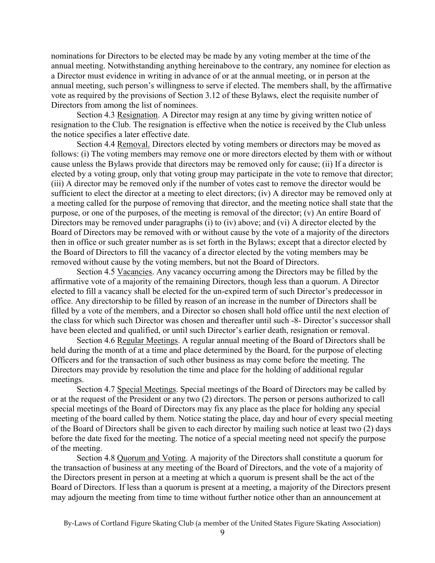nominations for Directors to be elected may be made by any voting member at the time of the annual meeting. Notwithstanding anything hereinabove to the contrary, any nominee for election as a Director must evidence in writing in advance of or at the annual meeting, or in person at the annual meeting, such person's willingness to serve if elected. The members shall, by the affirmative vote as required by the provisions of Section 3.12 of these Bylaws, elect the requisite number of Directors from among the list of nominees.

 Section 4.3 Resignation. A Director may resign at any time by giving written notice of resignation to the Club. The resignation is effective when the notice is received by the Club unless the notice specifies a later effective date.

Section 4.4 Removal. Directors elected by voting members or directors may be moved as follows: (i) The voting members may remove one or more directors elected by them with or without cause unless the Bylaws provide that directors may be removed only for cause; (ii) If a director is elected by a voting group, only that voting group may participate in the vote to remove that director; (iii) A director may be removed only if the number of votes cast to remove the director would be sufficient to elect the director at a meeting to elect directors; (iv) A director may be removed only at a meeting called for the purpose of removing that director, and the meeting notice shall state that the purpose, or one of the purposes, of the meeting is removal of the director; (v) An entire Board of Directors may be removed under paragraphs (i) to (iv) above; and (vi) A director elected by the Board of Directors may be removed with or without cause by the vote of a majority of the directors then in office or such greater number as is set forth in the Bylaws; except that a director elected by the Board of Directors to fill the vacancy of a director elected by the voting members may be removed without cause by the voting members, but not the Board of Directors.

Section 4.5 Vacancies. Any vacancy occurring among the Directors may be filled by the affirmative vote of a majority of the remaining Directors, though less than a quorum. A Director elected to fill a vacancy shall be elected for the un-expired term of such Director's predecessor in office. Any directorship to be filled by reason of an increase in the number of Directors shall be filled by a vote of the members, and a Director so chosen shall hold office until the next election of the class for which such Director was chosen and thereafter until such -8- Director's successor shall have been elected and qualified, or until such Director's earlier death, resignation or removal.

Section 4.6 Regular Meetings. A regular annual meeting of the Board of Directors shall be held during the month of at a time and place determined by the Board, for the purpose of electing Officers and for the transaction of such other business as may come before the meeting. The Directors may provide by resolution the time and place for the holding of additional regular meetings.

Section 4.7 Special Meetings. Special meetings of the Board of Directors may be called by or at the request of the President or any two (2) directors. The person or persons authorized to call special meetings of the Board of Directors may fix any place as the place for holding any special meeting of the board called by them. Notice stating the place, day and hour of every special meeting of the Board of Directors shall be given to each director by mailing such notice at least two (2) days before the date fixed for the meeting. The notice of a special meeting need not specify the purpose of the meeting.

Section 4.8 Quorum and Voting. A majority of the Directors shall constitute a quorum for the transaction of business at any meeting of the Board of Directors, and the vote of a majority of the Directors present in person at a meeting at which a quorum is present shall be the act of the Board of Directors. If less than a quorum is present at a meeting, a majority of the Directors present may adjourn the meeting from time to time without further notice other than an announcement at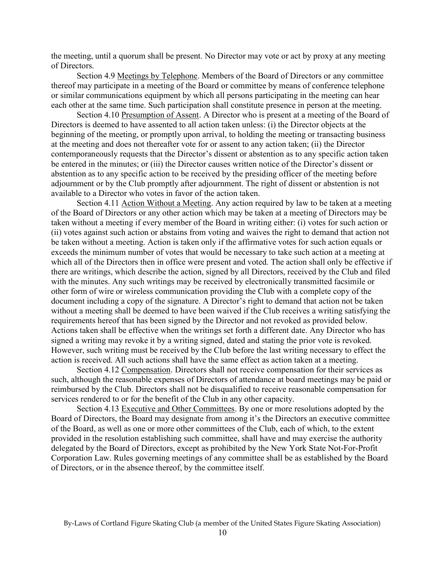the meeting, until a quorum shall be present. No Director may vote or act by proxy at any meeting of Directors.

Section 4.9 Meetings by Telephone. Members of the Board of Directors or any committee thereof may participate in a meeting of the Board or committee by means of conference telephone or similar communications equipment by which all persons participating in the meeting can hear each other at the same time. Such participation shall constitute presence in person at the meeting.

Section 4.10 Presumption of Assent. A Director who is present at a meeting of the Board of Directors is deemed to have assented to all action taken unless: (i) the Director objects at the beginning of the meeting, or promptly upon arrival, to holding the meeting or transacting business at the meeting and does not thereafter vote for or assent to any action taken; (ii) the Director contemporaneously requests that the Director's dissent or abstention as to any specific action taken be entered in the minutes; or (iii) the Director causes written notice of the Director's dissent or abstention as to any specific action to be received by the presiding officer of the meeting before adjournment or by the Club promptly after adjournment. The right of dissent or abstention is not available to a Director who votes in favor of the action taken.

Section 4.11 Action Without a Meeting. Any action required by law to be taken at a meeting of the Board of Directors or any other action which may be taken at a meeting of Directors may be taken without a meeting if every member of the Board in writing either: (i) votes for such action or (ii) votes against such action or abstains from voting and waives the right to demand that action not be taken without a meeting. Action is taken only if the affirmative votes for such action equals or exceeds the minimum number of votes that would be necessary to take such action at a meeting at which all of the Directors then in office were present and voted. The action shall only be effective if there are writings, which describe the action, signed by all Directors, received by the Club and filed with the minutes. Any such writings may be received by electronically transmitted facsimile or other form of wire or wireless communication providing the Club with a complete copy of the document including a copy of the signature. A Director's right to demand that action not be taken without a meeting shall be deemed to have been waived if the Club receives a writing satisfying the requirements hereof that has been signed by the Director and not revoked as provided below. Actions taken shall be effective when the writings set forth a different date. Any Director who has signed a writing may revoke it by a writing signed, dated and stating the prior vote is revoked. However, such writing must be received by the Club before the last writing necessary to effect the action is received. All such actions shall have the same effect as action taken at a meeting.

Section 4.12 Compensation. Directors shall not receive compensation for their services as such, although the reasonable expenses of Directors of attendance at board meetings may be paid or reimbursed by the Club. Directors shall not be disqualified to receive reasonable compensation for services rendered to or for the benefit of the Club in any other capacity.

Section 4.13 Executive and Other Committees. By one or more resolutions adopted by the Board of Directors, the Board may designate from among it's the Directors an executive committee of the Board, as well as one or more other committees of the Club, each of which, to the extent provided in the resolution establishing such committee, shall have and may exercise the authority delegated by the Board of Directors, except as prohibited by the New York State Not-For-Profit Corporation Law. Rules governing meetings of any committee shall be as established by the Board of Directors, or in the absence thereof, by the committee itself.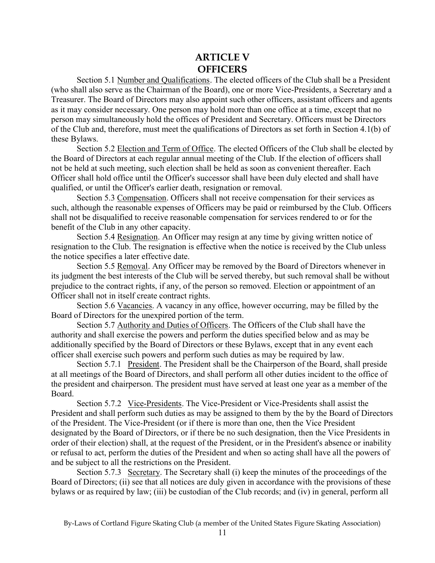### ARTICLE V **OFFICERS**

Section 5.1 Number and Qualifications. The elected officers of the Club shall be a President (who shall also serve as the Chairman of the Board), one or more Vice-Presidents, a Secretary and a Treasurer. The Board of Directors may also appoint such other officers, assistant officers and agents as it may consider necessary. One person may hold more than one office at a time, except that no person may simultaneously hold the offices of President and Secretary. Officers must be Directors of the Club and, therefore, must meet the qualifications of Directors as set forth in Section 4.1(b) of these Bylaws.

Section 5.2 Election and Term of Office. The elected Officers of the Club shall be elected by the Board of Directors at each regular annual meeting of the Club. If the election of officers shall not be held at such meeting, such election shall be held as soon as convenient thereafter. Each Officer shall hold office until the Officer's successor shall have been duly elected and shall have qualified, or until the Officer's earlier death, resignation or removal.

Section 5.3 Compensation. Officers shall not receive compensation for their services as such, although the reasonable expenses of Officers may be paid or reimbursed by the Club. Officers shall not be disqualified to receive reasonable compensation for services rendered to or for the benefit of the Club in any other capacity.

Section 5.4 Resignation. An Officer may resign at any time by giving written notice of resignation to the Club. The resignation is effective when the notice is received by the Club unless the notice specifies a later effective date.

Section 5.5 Removal. Any Officer may be removed by the Board of Directors whenever in its judgment the best interests of the Club will be served thereby, but such removal shall be without prejudice to the contract rights, if any, of the person so removed. Election or appointment of an Officer shall not in itself create contract rights.

Section 5.6 Vacancies. A vacancy in any office, however occurring, may be filled by the Board of Directors for the unexpired portion of the term.

Section 5.7 Authority and Duties of Officers. The Officers of the Club shall have the authority and shall exercise the powers and perform the duties specified below and as may be additionally specified by the Board of Directors or these Bylaws, except that in any event each officer shall exercise such powers and perform such duties as may be required by law.

Section 5.7.1 President. The President shall be the Chairperson of the Board, shall preside at all meetings of the Board of Directors, and shall perform all other duties incident to the office of the president and chairperson. The president must have served at least one year as a member of the Board.

Section 5.7.2 Vice-Presidents. The Vice-President or Vice-Presidents shall assist the President and shall perform such duties as may be assigned to them by the by the Board of Directors of the President. The Vice-President (or if there is more than one, then the Vice President designated by the Board of Directors, or if there be no such designation, then the Vice Presidents in order of their election) shall, at the request of the President, or in the President's absence or inability or refusal to act, perform the duties of the President and when so acting shall have all the powers of and be subject to all the restrictions on the President.

Section 5.7.3 Secretary. The Secretary shall (i) keep the minutes of the proceedings of the Board of Directors; (ii) see that all notices are duly given in accordance with the provisions of these bylaws or as required by law; (iii) be custodian of the Club records; and (iv) in general, perform all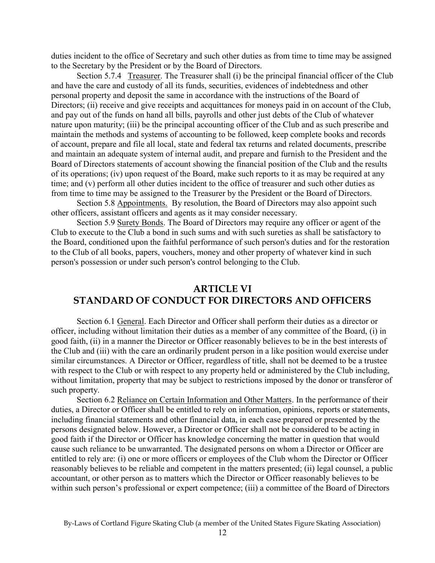duties incident to the office of Secretary and such other duties as from time to time may be assigned to the Secretary by the President or by the Board of Directors.

Section 5.7.4 Treasurer. The Treasurer shall (i) be the principal financial officer of the Club and have the care and custody of all its funds, securities, evidences of indebtedness and other personal property and deposit the same in accordance with the instructions of the Board of Directors; (ii) receive and give receipts and acquittances for moneys paid in on account of the Club, and pay out of the funds on hand all bills, payrolls and other just debts of the Club of whatever nature upon maturity; (iii) be the principal accounting officer of the Club and as such prescribe and maintain the methods and systems of accounting to be followed, keep complete books and records of account, prepare and file all local, state and federal tax returns and related documents, prescribe and maintain an adequate system of internal audit, and prepare and furnish to the President and the Board of Directors statements of account showing the financial position of the Club and the results of its operations; (iv) upon request of the Board, make such reports to it as may be required at any time; and (v) perform all other duties incident to the office of treasurer and such other duties as from time to time may be assigned to the Treasurer by the President or the Board of Directors.

 Section 5.8 Appointments. By resolution, the Board of Directors may also appoint such other officers, assistant officers and agents as it may consider necessary.

Section 5.9 Surety Bonds. The Board of Directors may require any officer or agent of the Club to execute to the Club a bond in such sums and with such sureties as shall be satisfactory to the Board, conditioned upon the faithful performance of such person's duties and for the restoration to the Club of all books, papers, vouchers, money and other property of whatever kind in such person's possession or under such person's control belonging to the Club.

### ARTICLE VI STANDARD OF CONDUCT FOR DIRECTORS AND OFFICERS

Section 6.1 General. Each Director and Officer shall perform their duties as a director or officer, including without limitation their duties as a member of any committee of the Board, (i) in good faith, (ii) in a manner the Director or Officer reasonably believes to be in the best interests of the Club and (iii) with the care an ordinarily prudent person in a like position would exercise under similar circumstances. A Director or Officer, regardless of title, shall not be deemed to be a trustee with respect to the Club or with respect to any property held or administered by the Club including, without limitation, property that may be subject to restrictions imposed by the donor or transferor of such property.

Section 6.2 Reliance on Certain Information and Other Matters. In the performance of their duties, a Director or Officer shall be entitled to rely on information, opinions, reports or statements, including financial statements and other financial data, in each case prepared or presented by the persons designated below. However, a Director or Officer shall not be considered to be acting in good faith if the Director or Officer has knowledge concerning the matter in question that would cause such reliance to be unwarranted. The designated persons on whom a Director or Officer are entitled to rely are: (i) one or more officers or employees of the Club whom the Director or Officer reasonably believes to be reliable and competent in the matters presented; (ii) legal counsel, a public accountant, or other person as to matters which the Director or Officer reasonably believes to be within such person's professional or expert competence; (iii) a committee of the Board of Directors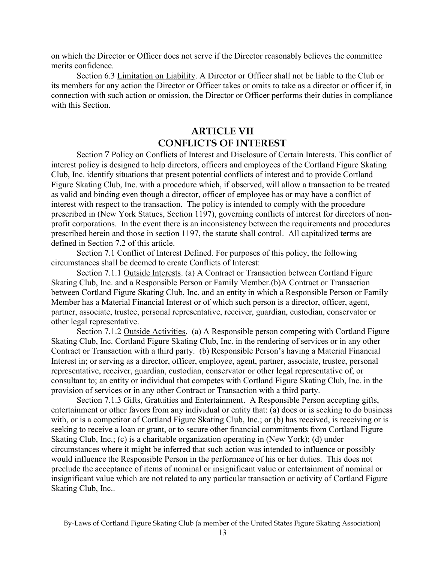on which the Director or Officer does not serve if the Director reasonably believes the committee merits confidence.

Section 6.3 Limitation on Liability. A Director or Officer shall not be liable to the Club or its members for any action the Director or Officer takes or omits to take as a director or officer if, in connection with such action or omission, the Director or Officer performs their duties in compliance with this Section.

### ARTICLE VII CONFLICTS OF INTEREST

Section 7 Policy on Conflicts of Interest and Disclosure of Certain Interests. This conflict of interest policy is designed to help directors, officers and employees of the Cortland Figure Skating Club, Inc. identify situations that present potential conflicts of interest and to provide Cortland Figure Skating Club, Inc. with a procedure which, if observed, will allow a transaction to be treated as valid and binding even though a director, officer of employee has or may have a conflict of interest with respect to the transaction. The policy is intended to comply with the procedure prescribed in (New York Statues, Section 1197), governing conflicts of interest for directors of nonprofit corporations. In the event there is an inconsistency between the requirements and procedures prescribed herein and those in section 1197, the statute shall control. All capitalized terms are defined in Section 7.2 of this article.

Section 7.1 Conflict of Interest Defined. For purposes of this policy, the following circumstances shall be deemed to create Conflicts of Interest:

Section 7.1.1 Outside Interests. (a) A Contract or Transaction between Cortland Figure Skating Club, Inc. and a Responsible Person or Family Member.(b)A Contract or Transaction between Cortland Figure Skating Club, Inc. and an entity in which a Responsible Person or Family Member has a Material Financial Interest or of which such person is a director, officer, agent, partner, associate, trustee, personal representative, receiver, guardian, custodian, conservator or other legal representative.

Section 7.1.2 Outside Activities. (a) A Responsible person competing with Cortland Figure Skating Club, Inc. Cortland Figure Skating Club, Inc. in the rendering of services or in any other Contract or Transaction with a third party. (b) Responsible Person's having a Material Financial Interest in; or serving as a director, officer, employee, agent, partner, associate, trustee, personal representative, receiver, guardian, custodian, conservator or other legal representative of, or consultant to; an entity or individual that competes with Cortland Figure Skating Club, Inc. in the provision of services or in any other Contract or Transaction with a third party.

Section 7.1.3 Gifts, Gratuities and Entertainment. A Responsible Person accepting gifts, entertainment or other favors from any individual or entity that: (a) does or is seeking to do business with, or is a competitor of Cortland Figure Skating Club, Inc.; or (b) has received, is receiving or is seeking to receive a loan or grant, or to secure other financial commitments from Cortland Figure Skating Club, Inc.; (c) is a charitable organization operating in (New York); (d) under circumstances where it might be inferred that such action was intended to influence or possibly would influence the Responsible Person in the performance of his or her duties. This does not preclude the acceptance of items of nominal or insignificant value or entertainment of nominal or insignificant value which are not related to any particular transaction or activity of Cortland Figure Skating Club, Inc..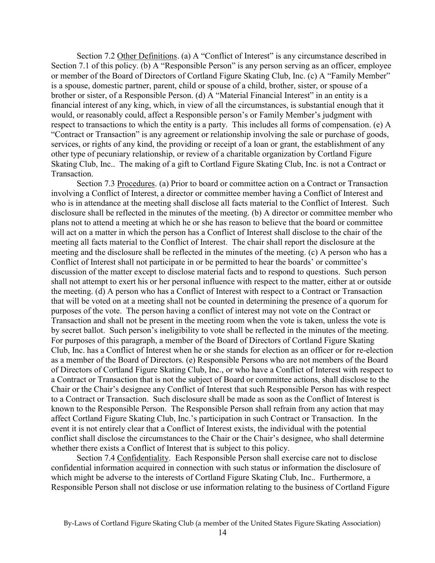Section 7.2 Other Definitions. (a) A "Conflict of Interest" is any circumstance described in Section 7.1 of this policy. (b) A "Responsible Person" is any person serving as an officer, employee or member of the Board of Directors of Cortland Figure Skating Club, Inc. (c) A "Family Member" is a spouse, domestic partner, parent, child or spouse of a child, brother, sister, or spouse of a brother or sister, of a Responsible Person. (d) A "Material Financial Interest" in an entity is a financial interest of any king, which, in view of all the circumstances, is substantial enough that it would, or reasonably could, affect a Responsible person's or Family Member's judgment with respect to transactions to which the entity is a party. This includes all forms of compensation. (e) A "Contract or Transaction" is any agreement or relationship involving the sale or purchase of goods, services, or rights of any kind, the providing or receipt of a loan or grant, the establishment of any other type of pecuniary relationship, or review of a charitable organization by Cortland Figure Skating Club, Inc.. The making of a gift to Cortland Figure Skating Club, Inc. is not a Contract or Transaction.

Section 7.3 Procedures. (a) Prior to board or committee action on a Contract or Transaction involving a Conflict of Interest, a director or committee member having a Conflict of Interest and who is in attendance at the meeting shall disclose all facts material to the Conflict of Interest. Such disclosure shall be reflected in the minutes of the meeting. (b) A director or committee member who plans not to attend a meeting at which he or she has reason to believe that the board or committee will act on a matter in which the person has a Conflict of Interest shall disclose to the chair of the meeting all facts material to the Conflict of Interest. The chair shall report the disclosure at the meeting and the disclosure shall be reflected in the minutes of the meeting. (c) A person who has a Conflict of Interest shall not participate in or be permitted to hear the boards' or committee's discussion of the matter except to disclose material facts and to respond to questions. Such person shall not attempt to exert his or her personal influence with respect to the matter, either at or outside the meeting. (d) A person who has a Conflict of Interest with respect to a Contract or Transaction that will be voted on at a meeting shall not be counted in determining the presence of a quorum for purposes of the vote. The person having a conflict of interest may not vote on the Contract or Transaction and shall not be present in the meeting room when the vote is taken, unless the vote is by secret ballot. Such person's ineligibility to vote shall be reflected in the minutes of the meeting. For purposes of this paragraph, a member of the Board of Directors of Cortland Figure Skating Club, Inc. has a Conflict of Interest when he or she stands for election as an officer or for re-election as a member of the Board of Directors. (e) Responsible Persons who are not members of the Board of Directors of Cortland Figure Skating Club, Inc., or who have a Conflict of Interest with respect to a Contract or Transaction that is not the subject of Board or committee actions, shall disclose to the Chair or the Chair's designee any Conflict of Interest that such Responsible Person has with respect to a Contract or Transaction. Such disclosure shall be made as soon as the Conflict of Interest is known to the Responsible Person. The Responsible Person shall refrain from any action that may affect Cortland Figure Skating Club, Inc.'s participation in such Contract or Transaction. In the event it is not entirely clear that a Conflict of Interest exists, the individual with the potential conflict shall disclose the circumstances to the Chair or the Chair's designee, who shall determine whether there exists a Conflict of Interest that is subject to this policy.

Section 7.4 Confidentiality. Each Responsible Person shall exercise care not to disclose confidential information acquired in connection with such status or information the disclosure of which might be adverse to the interests of Cortland Figure Skating Club, Inc.. Furthermore, a Responsible Person shall not disclose or use information relating to the business of Cortland Figure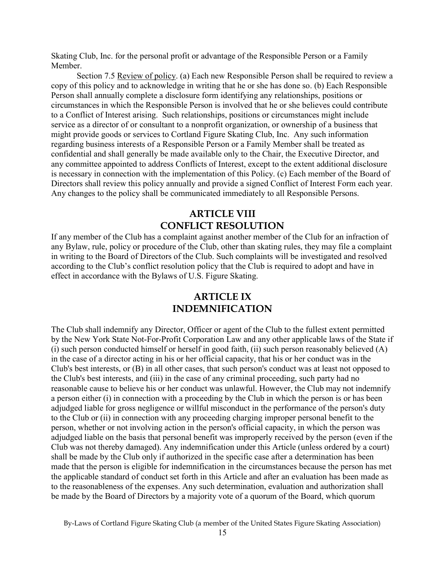Skating Club, Inc. for the personal profit or advantage of the Responsible Person or a Family Member.

Section 7.5 Review of policy. (a) Each new Responsible Person shall be required to review a copy of this policy and to acknowledge in writing that he or she has done so. (b) Each Responsible Person shall annually complete a disclosure form identifying any relationships, positions or circumstances in which the Responsible Person is involved that he or she believes could contribute to a Conflict of Interest arising. Such relationships, positions or circumstances might include service as a director of or consultant to a nonprofit organization, or ownership of a business that might provide goods or services to Cortland Figure Skating Club, Inc. Any such information regarding business interests of a Responsible Person or a Family Member shall be treated as confidential and shall generally be made available only to the Chair, the Executive Director, and any committee appointed to address Conflicts of Interest, except to the extent additional disclosure is necessary in connection with the implementation of this Policy. (c) Each member of the Board of Directors shall review this policy annually and provide a signed Conflict of Interest Form each year. Any changes to the policy shall be communicated immediately to all Responsible Persons.

# ARTICLE VIII CONFLICT RESOLUTION

If any member of the Club has a complaint against another member of the Club for an infraction of any Bylaw, rule, policy or procedure of the Club, other than skating rules, they may file a complaint in writing to the Board of Directors of the Club. Such complaints will be investigated and resolved according to the Club's conflict resolution policy that the Club is required to adopt and have in effect in accordance with the Bylaws of U.S. Figure Skating.

### ARTICLE IX INDEMNIFICATION

The Club shall indemnify any Director, Officer or agent of the Club to the fullest extent permitted by the New York State Not-For-Profit Corporation Law and any other applicable laws of the State if (i) such person conducted himself or herself in good faith, (ii) such person reasonably believed (A) in the case of a director acting in his or her official capacity, that his or her conduct was in the Club's best interests, or (B) in all other cases, that such person's conduct was at least not opposed to the Club's best interests, and (iii) in the case of any criminal proceeding, such party had no reasonable cause to believe his or her conduct was unlawful. However, the Club may not indemnify a person either (i) in connection with a proceeding by the Club in which the person is or has been adjudged liable for gross negligence or willful misconduct in the performance of the person's duty to the Club or (ii) in connection with any proceeding charging improper personal benefit to the person, whether or not involving action in the person's official capacity, in which the person was adjudged liable on the basis that personal benefit was improperly received by the person (even if the Club was not thereby damaged). Any indemnification under this Article (unless ordered by a court) shall be made by the Club only if authorized in the specific case after a determination has been made that the person is eligible for indemnification in the circumstances because the person has met the applicable standard of conduct set forth in this Article and after an evaluation has been made as to the reasonableness of the expenses. Any such determination, evaluation and authorization shall be made by the Board of Directors by a majority vote of a quorum of the Board, which quorum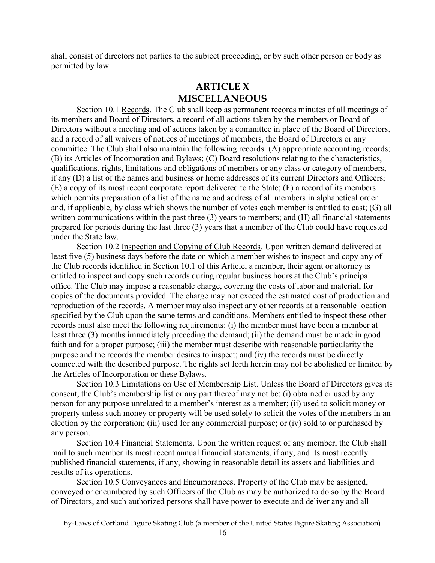shall consist of directors not parties to the subject proceeding, or by such other person or body as permitted by law.

### ARTICLE X MISCELLANEOUS

Section 10.1 Records. The Club shall keep as permanent records minutes of all meetings of its members and Board of Directors, a record of all actions taken by the members or Board of Directors without a meeting and of actions taken by a committee in place of the Board of Directors, and a record of all waivers of notices of meetings of members, the Board of Directors or any committee. The Club shall also maintain the following records: (A) appropriate accounting records; (B) its Articles of Incorporation and Bylaws; (C) Board resolutions relating to the characteristics, qualifications, rights, limitations and obligations of members or any class or category of members, if any (D) a list of the names and business or home addresses of its current Directors and Officers; (E) a copy of its most recent corporate report delivered to the State; (F) a record of its members which permits preparation of a list of the name and address of all members in alphabetical order and, if applicable, by class which shows the number of votes each member is entitled to cast; (G) all written communications within the past three (3) years to members; and (H) all financial statements prepared for periods during the last three (3) years that a member of the Club could have requested under the State law.

Section 10.2 Inspection and Copying of Club Records. Upon written demand delivered at least five (5) business days before the date on which a member wishes to inspect and copy any of the Club records identified in Section 10.1 of this Article, a member, their agent or attorney is entitled to inspect and copy such records during regular business hours at the Club's principal office. The Club may impose a reasonable charge, covering the costs of labor and material, for copies of the documents provided. The charge may not exceed the estimated cost of production and reproduction of the records. A member may also inspect any other records at a reasonable location specified by the Club upon the same terms and conditions. Members entitled to inspect these other records must also meet the following requirements: (i) the member must have been a member at least three (3) months immediately preceding the demand; (ii) the demand must be made in good faith and for a proper purpose; (iii) the member must describe with reasonable particularity the purpose and the records the member desires to inspect; and (iv) the records must be directly connected with the described purpose. The rights set forth herein may not be abolished or limited by the Articles of Incorporation or these Bylaws.

Section 10.3 Limitations on Use of Membership List. Unless the Board of Directors gives its consent, the Club's membership list or any part thereof may not be: (i) obtained or used by any person for any purpose unrelated to a member's interest as a member; (ii) used to solicit money or property unless such money or property will be used solely to solicit the votes of the members in an election by the corporation; (iii) used for any commercial purpose; or (iv) sold to or purchased by any person.

Section 10.4 Financial Statements. Upon the written request of any member, the Club shall mail to such member its most recent annual financial statements, if any, and its most recently published financial statements, if any, showing in reasonable detail its assets and liabilities and results of its operations.

Section 10.5 Conveyances and Encumbrances. Property of the Club may be assigned, conveyed or encumbered by such Officers of the Club as may be authorized to do so by the Board of Directors, and such authorized persons shall have power to execute and deliver any and all